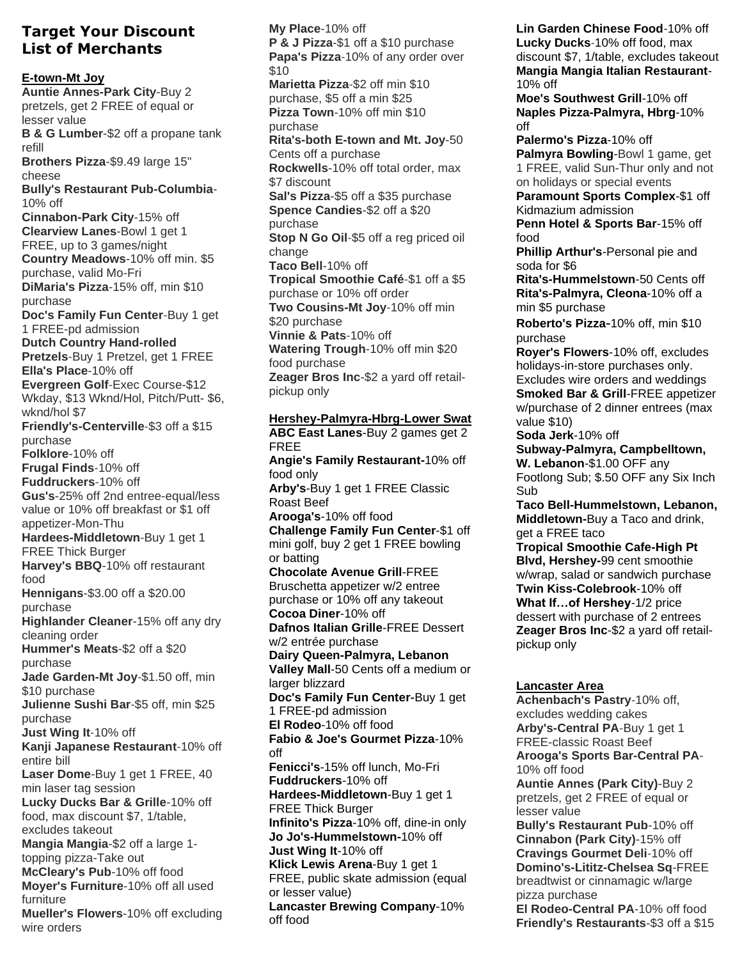## **Target Your Discount List of Merchants**

## **E-town-Mt Joy**

**Auntie Annes-Park City**-Buy 2 pretzels, get 2 FREE of equal or lesser value **B & G Lumber**-\$2 off a propane tank refill **Brothers Pizza**-\$9.49 large 15" cheese **Bully's Restaurant Pub-Columbia**-10% off **Cinnabon-Park City**-15% off **Clearview Lanes**-Bowl 1 get 1 FREE, up to 3 games/night **Country Meadows**-10% off min. \$5 purchase, valid Mo-Fri **DiMaria's Pizza**-15% off, min \$10 purchase **Doc's Family Fun Center**-Buy 1 get 1 FREE-pd admission **Dutch Country Hand-rolled Pretzels**-Buy 1 Pretzel, get 1 FREE **Ella's Place**-10% off **Evergreen Golf**-Exec Course-\$12 Wkday, \$13 Wknd/Hol, Pitch/Putt- \$6, wknd/hol \$7 **Friendly's-Centerville**-\$3 off a \$15 purchase **Folklore**-10% off **Frugal Finds**-10% off **Fuddruckers**-10% off **Gus's**-25% off 2nd entree-equal/less value or 10% off breakfast or \$1 off appetizer-Mon-Thu **Hardees-Middletown**-Buy 1 get 1 FREE Thick Burger **Harvey's BBQ**-10% off restaurant food **Hennigans**-\$3.00 off a \$20.00 purchase **Highlander Cleaner**-15% off any dry cleaning order **Hummer's Meats**-\$2 off a \$20 purchase **Jade Garden-Mt Joy**-\$1.50 off, min \$10 purchase **Julienne Sushi Bar**-\$5 off, min \$25 purchase **Just Wing It**-10% off **Kanji Japanese Restaurant**-10% off entire bill **Laser Dome**-Buy 1 get 1 FREE, 40 min laser tag session **Lucky Ducks Bar & Grille**-10% off food, max discount \$7, 1/table, excludes takeout **Mangia Mangia**-\$2 off a large 1 topping pizza-Take out **McCleary's Pub**-10% off food **Moyer's Furniture**-10% off all used furniture **Mueller's Flowers**-10% off excluding

wire orders

**My Place**-10% off **P & J Pizza**-\$1 off a \$10 purchase **Papa's Pizza**-10% of any order over  $$10$ **Marietta Pizza**-\$2 off min \$10 purchase, \$5 off a min \$25 **Pizza Town**-10% off min \$10 purchase **Rita's-both E-town and Mt. Joy**-50 Cents off a purchase **Rockwells**-10% off total order, max \$7 discount **Sal's Pizza**-\$5 off a \$35 purchase **Spence Candies**-\$2 off a \$20 purchase **Stop N Go Oil**-\$5 off a reg priced oil change **Taco Bell**-10% off **Tropical Smoothie Café**-\$1 off a \$5 purchase or 10% off order **Two Cousins-Mt Joy**-10% off min \$20 purchase **Vinnie & Pats**-10% off **Watering Trough**-10% off min \$20 food purchase **Zeager Bros Inc**-\$2 a yard off retailpickup only

## **Hershey-Palmyra-Hbrg-Lower Swat**

**ABC East Lanes**-Buy 2 games get 2 FREE **Angie's Family Restaurant-**10% off food only **Arby's**-Buy 1 get 1 FREE Classic Roast Beef **Arooga's**-10% off food **Challenge Family Fun Center**-\$1 off mini golf, buy 2 get 1 FREE bowling or batting **Chocolate Avenue Grill**-FREE Bruschetta appetizer w/2 entree purchase or 10% off any takeout **Cocoa Diner**-10% off **Dafnos Italian Grille**-FREE Dessert w/2 entrée purchase **Dairy Queen-Palmyra, Lebanon Valley Mall**-50 Cents off a medium or larger blizzard **Doc's Family Fun Center-**Buy 1 get 1 FREE-pd admission **El Rodeo**-10% off food **Fabio & Joe's Gourmet Pizza**-10% off **Fenicci's**-15% off lunch, Mo-Fri **Fuddruckers**-10% off **Hardees-Middletown**-Buy 1 get 1 FREE Thick Burger **Infinito's Pizza**-10% off, dine-in only **Jo Jo's-Hummelstown-**10% off **Just Wing It**-10% off **Klick Lewis Arena**-Buy 1 get 1 FREE, public skate admission (equal or lesser value) **Lancaster Brewing Company**-10% off food

**Lin Garden Chinese Food**-10% off **Lucky Ducks**-10% off food, max discount \$7, 1/table, excludes takeout **Mangia Mangia Italian Restaurant**-10% off

**Moe's Southwest Grill**-10% off **Naples Pizza-Palmyra, Hbrg**-10% off

**Palermo's Pizza**-10% off **Palmyra Bowling**-Bowl 1 game, get 1 FREE, valid Sun-Thur only and not on holidays or special events

**Paramount Sports Complex**-\$1 off Kidmazium admission

**Penn Hotel & Sports Bar**-15% off food

**Phillip Arthur's**-Personal pie and soda for \$6

**Rita's-Hummelstown**-50 Cents off **Rita's-Palmyra, Cleona**-10% off a min \$5 purchase

**Roberto's Pizza-**10% off, min \$10 purchase

**Royer's Flowers**-10% off, excludes holidays-in-store purchases only. Excludes wire orders and weddings

**Smoked Bar & Grill**-FREE appetizer w/purchase of 2 dinner entrees (max value \$10)

**Soda Jerk**-10% off

**Subway-Palmyra, Campbelltown, W. Lebanon**-\$1.00 OFF any Footlong Sub; \$.50 OFF any Six Inch Sub

**Taco Bell-Hummelstown, Lebanon, Middletown-**Buy a Taco and drink, get a FREE taco

**Tropical Smoothie Cafe-High Pt Blvd, Hershey-**99 cent smoothie w/wrap, salad or sandwich purchase **Twin Kiss-Colebrook**-10% off **What If…of Hershey**-1/2 price dessert with purchase of 2 entrees **Zeager Bros Inc**-\$2 a yard off retailpickup only

## **Lancaster Area**

**Achenbach's Pastry**-10% off, excludes wedding cakes **Arby's-Central PA**-Buy 1 get 1 FREE-classic Roast Beef **Arooga's Sports Bar-Central PA**-10% off food

**Auntie Annes (Park City)**-Buy 2 pretzels, get 2 FREE of equal or lesser value

**Bully's Restaurant Pub**-10% off **Cinnabon (Park City)**-15% off **Cravings Gourmet Deli**-10% off **Domino's-Lititz-Chelsea Sq**-FREE breadtwist or cinnamagic w/large pizza purchase

**El Rodeo-Central PA**-10% off food **Friendly's Restaurants**-\$3 off a \$15